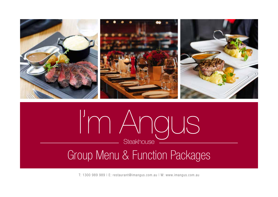

T: 1300 989 989 | E: restaurant@imangus.com.au | W: www.imangus.com.au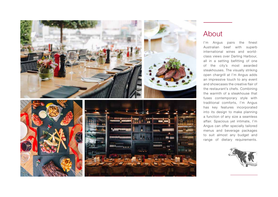

# About

I'm Angus pairs the finest Australian beef with superb international wines and worldclass views over Darling Harbour, all in a setting befitting of one of the city's most awarded steakhouses. The visually striking open chargrill at I'm Angus adds an impressive touch to any event and showcases the creative flair of the restaurant's chefs. Combining the warmth of a steakhouse that fuses contemporary style with traditional comforts, I'm Angus has key features incorporated into its design to make planning a function of any size a seamless affair. Spacious yet intimate, I'm Angus can offer specially tailored menus and beverage packages to suit almost any budget and range of dietary requirements.

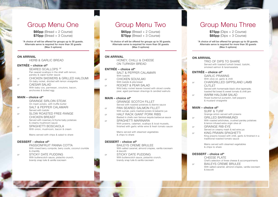# Group Menu One

**\$60pp** (Bread + 2 Course) **\$70pp** (Bread + 3 Course)

\*A choice of will be offered for groups up to 30 guests. Alternate serve is required for more than 30 quests (Max 3 options)

### **ON ARRIVAL**

HERB & GARLIC BREAD

## **ENTRÉE – choice of\***

SEARED SCALLOPS <sup>GF</sup> Pan seared scallops in the shell with lemon, parsley & caper butter sauce

*or* CHICKEN SKEWERS & GRILLED HALOUMI On baby rocket, drizzled with lemon vinaigrette

*or* CAESAR SALAD With baby cos, parmesan, croutons, bacon, anchovies & boiled egg

# **MAIN – choice of\***

On mash potato, with truffle butter

- *or* SALT & PEPPER CALAMARI Served with tzatziki
- *or* SLOW ROASTED FREE-RANGE CHICKEN BREAST Served with rosemary & thyme baby potatoes & creamy mushroom sauce
- *or* SPAGHETTI BOSCAIOLA With onion, mushroom, bacon & cream

Mains served with chips & salad to share

**DESSERT - choice of\***

With mixed berry compote, berry coulis, coconut crumble & chantilly

*or* STICKY DATE PUDDING With butterscotch sauce, pistachio crunch, brandy snap tuile & vanilla icecream

# Group Menu Two

**\$65pp** (Bread + 2 Course) **\$75pp** (Bread + 3 Course)

\*A choice of will be offered for groups up to 30 guests. Alternate serve is required for more than 30 quests (Max 3 options)

### **ON ARRIVAL**

HONEY, CHILLI & CHEESE ON TURKISH BREAD

## **ENTRÉE – choice of\***

SALT & PEPPER CALAMARI<br>With tzatziki

- *or* CHICKEN SOUVLAKI<br>With tzatziki & pita bread
- *or* ROCKET & PEAR SALAD Wild baby rocket leaves tossed with sliced corella pear, aged parmesan shavings & candied walnuts

# **MAIN – choice of\***

Served with roasted potatoes & dianne sauce

- *or* PAN SEARED SALMON FILLET With sumak, paris mashed potato & balsamic jus
- *or* HALF RACK GIANT PORK RIBS<br>Basted in chefs own famous tequila barbecue sauce

*or* SPAGHETTI MARINARA With prawns, calamari, scallops & local mussels, finished with garlic white wine & fresh tomato sauce

> Mains served with steamed vegetables & chips to share

# **DESSERT - choice of\***

With salted caramel, almond crispies, vanilla icecream & biscotti

*or* STICKY DATE PUDDING With butterscotch sauce, pistachio crunch, brandy snap tuile & vanilla icecream

# Group Menu Three

**\$75pp** (Dips + 2 Course) **\$85pp** (Dips + 3 Course)

\*A choice of will be offered for groups up to 30 guests. Alternate serve is required for more than 30 quests (Max 3 options)

**ON ARRIVAL**<br>TRIO OF DIPS TO SHARE Served with toasted turkish bread, tzatziki, smoked salmon & taramasalata

# **ENTRÉE – choice of\***

With olive oil, garlic & chilli

*or* CHARGRILLED GIPPSLAND LAMB CUTLET<br>Served with homemade black olive tapenade,

 toasted flat bread & sweet tomato & chilli jam

*or* WARM HALOUMI SALAD Roast butternut pumpkin, bell peppers & mustard vinaigrette

# **MAIN – choice of\***

Grainge sirloin served with prawns

*or* GRILLED BARRAMUNDI With roasted artichokes, crushed parsley potatoes & lemon infused extra virgin olive oil

*or* GRAINGE RIB-EYE Served on creamy mash & red wine jus

*or* KING PRAWN SPAGHETTI<br>King prawns tossed with chilli, garlic & finished in a traditional roasted tomato sauce

> Mains served with steamed vegetables & chips to share

# **DESSERT - choice of\***

Chef's selection of three cheese & accompaniments *or* BAILEYS CREME BRULEE With salted caramel, almond crispies, vanilla icecream & biscotti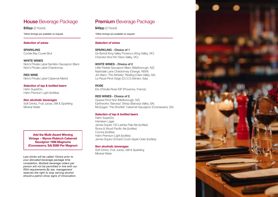# **House** Beverage Package

**\$35pp** (2 hours)

\*Other timings are available on request

## *Selection of wines*

**SPARKLING** Cockle Bay Cuvee Brut

**WHITE WINES** Nick's Private Label Semillon Sauvignon Blanc Nick's Private Label Chardonnay

**RED WINE** Nick's Private Label Cabernet Merlot

*Selection of tap & bottled beers* Hahn SuperDry Hahn Premium Light (bottles)

*Non alcoholic beverages* Soft Drinks, Fruit Juices, Still & Sparkling Mineral Water

**Add the Multi-Award Winning Vintage ~ Wynns Riddoch Cabernet Sauvignon 1998 Magnums (Coonawarra, SA) \$380 Per Magnum**

*Last drinks will be called 15mins prior to your allocated beverage package time completion. Multiple beverage orders per person will not be permitted in line with our RSA requirements.By law, management reserves the right to stop serving alcohol should a patron show signs of intoxication.*

# **Premium** Beverage Package

**\$40pp** (2 hours)

\*Other timings are available on request

## *Selection of wines*

**SPARKLING - Choice of 1** De Bortoli King Valley Prosecco (King Valley, VIC) Chandon Brut NV (Yarra Valley, VIC)

# **WHITE WINES - Choice of 2**

Little Pebble Sauvignon Blanc (Marlborough, NZ) Nashdale Lane Chardonnay (Orange, NSW) Jim Barry 'The Atherley' Riesling (Clare Valley, SA) Le Pezze Pinot Grigio (D.O.C) (Veneto, Italy)

**ROSE** Ete d'Elodie Rose IGP (Provence, France)

**RED WINES - Choice of 2** Opawa Pinot Noir (Marlborough, NZ) Earthworks 'Barossa' Shiraz (Barossa Valley, SA) McGuigan 'The Shortlist' Cabernet Sauvignon (Coonawarra, SA)

## *Selection of tap & bottled beers*

Hahn SuperDry Heineken Lager James Squire 150 Lashes Pale Ale (bottles) Stone & Wood Pacific Ale (bottles) Corona (bottles) Hahn Premium Light (bottles) James Squire Orchard Crush Apple Cider (bottles)

## *Non alcoholic beverages*

Soft Drinks, Fruit Juices, Still & Sparkling Mineral Water

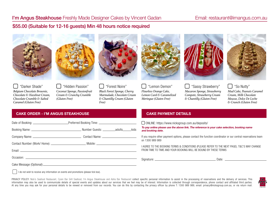# \$55.00 (Suitable for 12-16 guests) Min 48 hours notice required



"Darker Shade"

*Belgium Chocolate Brownie, Chocolate & Hazelnut Cream, Chocolate Crumble & Salted Caramel (Gluten Free)*



 "Hidden Passion" *Coconut Sponge, Passionfruit Cream & Crunchy Crumble (Gluten Free)*



"Forest Noire"

*Black Forest Sponge, Cherry Marmalade, Chocolate Cream & Chantilly Cream (Gluten Free)*



"Lemon Demon"

*Flourless Orange Cake, Lemon Curd & Caramelized Meringue (Gluten Free)*



 "Sassy Strawberry" *Macaron Sponge, Strawberry Compote, Strawberry Cream & Chantilly (Gluten Free)*



"So Nutty"

*Mud Cake, Peanuts Caramel Cream, Milk Chocolate Mousse, Dolce De Leche & Crunch (Gluten Free)*

## **CAKE ORDER - I'M ANGUS STEAKHOUSE CAKE PAYMENT DETAILS**

| Cake Message (Optional) |  |  |
|-------------------------|--|--|

ONLINE: https://www.nicksgroup.com.au/deposits/

**To pay online please use the above link. The reference is your cake selection, booking name and booking date.**

If you require other payment options, please contact the function coordinator or our central reservations team on 1300 989 989

I AGREE TO THE BOOKING TERMS & CONDITIONS (PLEASE REFER TO THE NEXT PAGE). T&C'S MAY CHANGE FROM TIME TO TIME AND YOUR BOOKING WILL BE BOUND BY THESE TERMS

Signature: 2000 Contract Contract Contract Contract Contract Contract Contract Contract Contract Contract Contract Contract Contract Contract Contract Contract Contract Contract Contract Contract Contract Contract Contract

age (Optional)

I do not wish to receive any information on events and promotions (please tick box).

PRIVACY POLICY: Nick's Seafood Restaurant, Cyren Bar Grill Seafood, I'm Angus Steakhouse and Adria Bar Restaurant collect specific personal information to assist in the processing of reservations and the delivery of servic information may also be used to communicate details of special events and updates about our services that we feel may be of interest. Information is collected through correspondence, phone contact and affiliated third part At any time you may ask for your personal details to be viewed or removed from our records. You can do this by contacting the privacy officer by phone T: 1300 989 989, email: privacy@nicksgroup.com.au, or via return mail

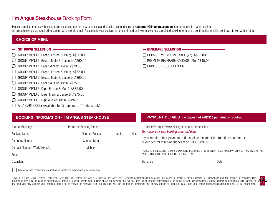# I'm Angus Steakhouse Booking Form

Please complete the below booking form, accepting our terms & conditions and email a scanned copy to **restaurant@imangus.com.au** in order to confirm your booking. All group bookings are required to confirm & cancel via email. Please note your booking is not confirmed until we receive this completed booking form and a confirmation email is sent back to you within 48hrs.

## **CHOICE OF MENU**

# SIT DOWN SELECTION

- GROUP MENU 1 (Bread, Entree & Main) A\$60.00
- $\Box$ GROUP MENU 1 (Bread, Main & Dessert) A\$60.00
- GROUP MENU 1 (Bread & 3 Courses) A\$70.00
- GROUP MENU 2 (Bread, Entree & Main) A\$65.00
- GROUP MENU 2 (Bread, Main & Dessert) A\$65.00
- GROUP MENU 2 (Bread & 3 Courses) A\$75.00
- GROUP MENU 3 (Dips, Entree & Main) A\$75.00
- GROUP MENU 3 (Dips, Main & Dessert) A\$75.00  $\Box$
- GROUP MENU 3 (Dips & 3 Courses) A\$85.00
- $\Box$  A LA CARTE ONLY (Available for Groups up to 11 adults only)

# BEVERAGE SELECTION

□ HOUSE BEVERAGE PACKAGE (2h) A\$35.00 PREMIUM BEVERAGE PACKAGE (2h) A\$40.00 O DRINKS ON CONSUMPTION

## **BOOKING INFORMATION - I'M ANGUS STEAKHOUSE PAYMENT DETAILS ~ A deposit of AUD\$25 per adult is required**

ONLINE: https://www.nicksgroup.com.au/deposits/

The reference is your booking name and date.

If you require other payment options, please contact the function coordinator or our central reservations team on 1300 989 989

I AGREE TO THE BOOKING TERMS & CONDITIONS (PLEASE REFER TO THE NEXT PAGE). T&C'S MAY CHANGE FROM TIME TO TIME AND YOUR BOOKING WILL BE BOUND BY THESE TERMS

Signature: 2000 Contract Contract Contract Contract Contract Contract Contract Contract Contract Contract Contract Contract Contract Contract Contract Contract Contract Contract Contract Contract Contract Contract Contract

I do not wish to receive any information on events and promotions (please tick box).

PRIVACY POLICY: Nick's Seafood Restaurant, Cyren Bar Grill Seafood, I'm Angus Steakhouse and Adria Bar Restaurant collect specific personal information to assist in the processing of reservations and the delivery of servic information may also be used to communicate details of special events and updates about our services that we feel may be of interest. Information is collected through correspondence, phone contact and affiliated third part any time you may ask for your personal details to be viewed or removed from our records. You can do this by contacting the privacy officer by phone T: 1300 989 989, email: privacy@nicksgroup.com.au, or via return mail.